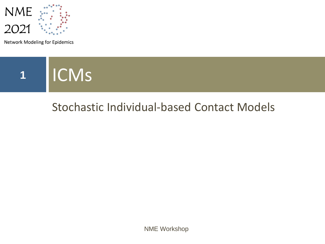

Network Modeling for Epidemics



### Stochastic Individual-based Contact Models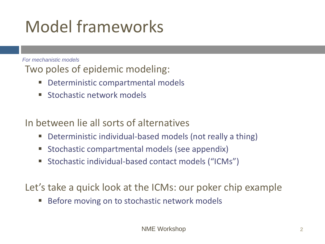### Model frameworks

*For mechanistic models*

Two poles of epidemic modeling:

- Deterministic compartmental models
- **E** Stochastic network models

In between lie all sorts of alternatives

- Deterministic individual-based models (not really a thing)
- Stochastic compartmental models (see appendix)
- Stochastic individual-based contact models ("ICMs")

Let's take a quick look at the ICMs: our poker chip example

Before moving on to stochastic network models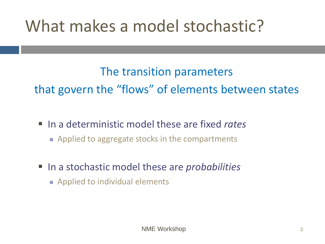### What makes a model stochastic?

### The transition parameters that govern the "flows" of elements between states

- In a deterministic model these are fixed *rates* 
	- Applied to aggregate stocks in the compartments
- In a stochastic model these are *probabilities* 
	- Applied to individual elements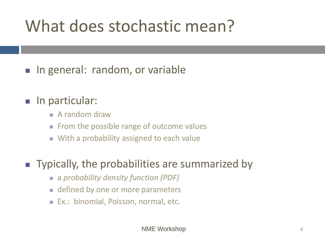### What does stochastic mean?

■ In general: random, or variable

#### ■ In particular:

- $\blacksquare$  A random draw
- From the possible range of outcome values
- With a probability assigned to each value

#### ■ Typically, the probabilities are summarized by

- a *probability density function (PDF)*
- defined by one or more parameters
- Ex.: binomial, Poisson, normal, etc.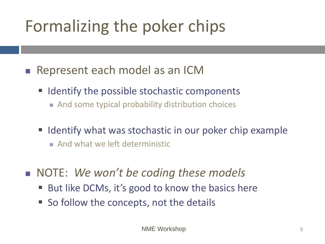## Formalizing the poker chips

- Represent each model as an ICM
	- Identify the possible stochastic components
		- And some typical probability distribution choices
	- Identify what was stochastic in our poker chip example
		- And what we left deterministic
- <sup>◼</sup> NOTE: *We won't be coding these models*
	- But like DCMs, it's good to know the basics here
	- So follow the concepts, not the details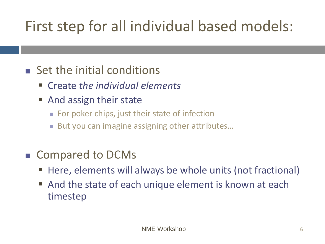### First step for all individual based models:

### ■ Set the initial conditions

- Create *the individual elements*
- And assign their state
	- For poker chips, just their state of infection
	- But you can imagine assigning other attributes...

#### ■ Compared to DCMs

- Here, elements will always be whole units (not fractional)
- And the state of each unique element is known at each timestep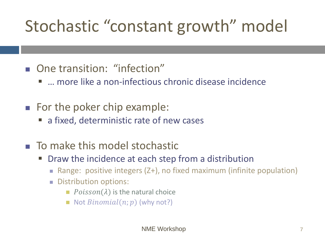# Stochastic "constant growth" model

- One transition: "infection"
	- … more like a non-infectious chronic disease incidence
- For the poker chip example:
	- a fixed, deterministic rate of new cases
- To make this model stochastic
	- Draw the incidence at each step from a distribution
		- Range: positive integers (Z+), no fixed maximum (infinite population)
		- Distribution options:
			- $\blacksquare$  Poisson( $\lambda$ ) is the natural choice
			- $\blacksquare$  Not  $Binomial(n; p)$  (why not?)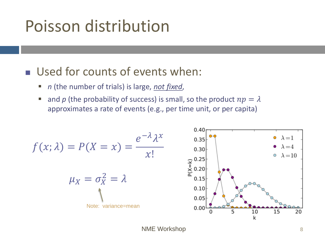### Poisson distribution

#### ■ Used for counts of events when:

- *n* (the number of trials) is large, *not fixed*,
- and p (the probability of success) is small, so the product  $np = \lambda$ approximates a rate of events (e.g., per time unit, or per capita)

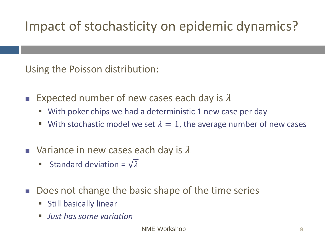### Impact of stochasticity on epidemic dynamics?

Using the Poisson distribution:

- **Expected number of new cases each day is**  $\lambda$ 
	- With poker chips we had a deterministic 1 new case per day
	- **E** With stochastic model we set  $\lambda = 1$ , the average number of new cases
- **■** Variance in new cases each day is  $\lambda$ 
	- Standard deviation =  $\sqrt{\lambda}$
- Does not change the basic shape of the time series
	- **E** Still basically linear
	- *Just has some variation*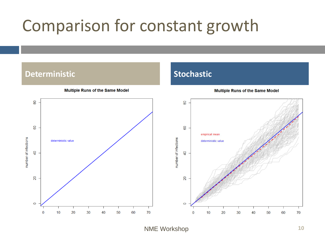### Comparison for constant growth

#### **Deterministic Stochastic**



**Multiple Runs of the Same Model** 

**Multiple Runs of the Same Model** 

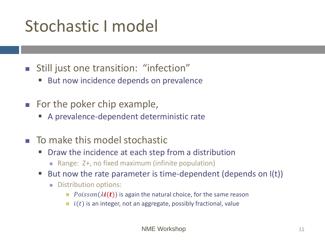### Stochastic I model

- Still just one transition: "infection"
	- But now incidence depends on prevalence
- For the poker chip example,
	- A prevalence-dependent deterministic rate
- $\blacksquare$  To make this model stochastic
	- Draw the incidence at each step from a distribution
		- Range: Z+, no fixed maximum (infinite population)
	- But now the rate parameter is time-dependent (depends on  $I(t)$ )
		- Distribution options:
			- *Poisson*( $\lambda$ **i(t))** is again the natural choice, for the same reason
			- $\blacksquare$   $i(t)$  is an integer, not an aggregate, possibly fractional, value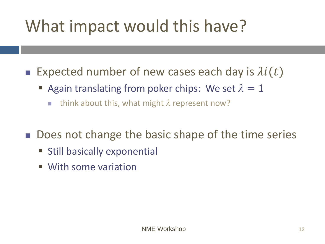### What impact would this have?

- **Expected number of new cases each day is**  $\lambda i(t)$ 
	- Again translating from poker chips: We set  $\lambda = 1$ 
		- $\blacksquare$  think about this, what might  $\lambda$  represent now?
- Does not change the basic shape of the time series
	- **E** Still basically exponential
	- With some variation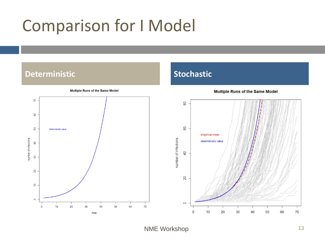### Comparison for I Model

#### **Deterministic Stochastic**



**Multiple Runs of the Same Model** 



30

40

50

60

**Multiple Runs of the Same Model** 

NME Workshop **13** 

number of infections

 $\circ$ 

 $\overline{0}$ 

 $10$ 

20

 $70$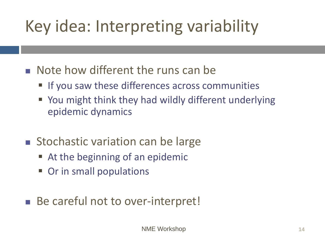# Key idea: Interpreting variability

- Note how different the runs can be
	- If you saw these differences across communities
	- You might think they had wildly different underlying epidemic dynamics
- Stochastic variation can be large
	- At the beginning of an epidemic
	- Or in small populations
- Be careful not to over-interpret!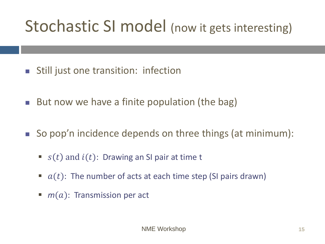### Stochastic SI model (now it gets interesting)

- Still just one transition: infection
- But now we have a finite population (the bag)
- So pop'n incidence depends on three things (at minimum):
	- $s(t)$  and  $i(t)$ : Drawing an SI pair at time t
	- $a(t)$ : The number of acts at each time step (SI pairs drawn)
	- $\blacksquare$  *m*(*a*): Transmission per act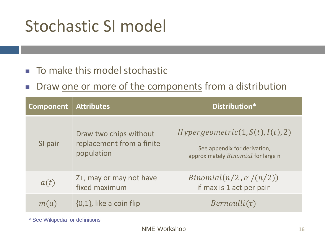### Stochastic SI model

#### ■ To make this model stochastic

■ Draw one or more of the components from a distribution

| <b>Component</b> | Distribution*                                                     |                                                                                                               |
|------------------|-------------------------------------------------------------------|---------------------------------------------------------------------------------------------------------------|
| SI pair          | Draw two chips without<br>replacement from a finite<br>population | Hypergeometric(1, S(t), I(t), 2)<br>See appendix for derivation,<br>approximately <i>Binomial</i> for large n |
| a(t)             | Z+, may or may not have<br>fixed maximum                          | $Binomial(n/2, \alpha/(n/2))$<br>if max is 1 act per pair                                                     |
| m(a)             | $\{0,1\}$ , like a coin flip                                      | $Bernoulli(\tau)$                                                                                             |

\* See Wikipedia for definitions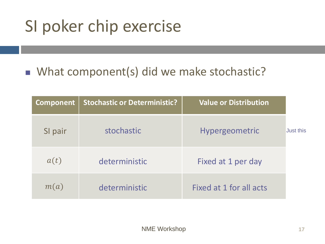### SI poker chip exercise

### ■ What component(s) did we make stochastic?

| Component | <b>Stochastic or Deterministic?</b> | <b>Value or Distribution</b> |                  |
|-----------|-------------------------------------|------------------------------|------------------|
| SI pair   | stochastic                          | <b>Hypergeometric</b>        | <b>Just this</b> |
| a(t)      | deterministic                       | Fixed at 1 per day           |                  |
| m(a)      | deterministic                       | Fixed at 1 for all acts      |                  |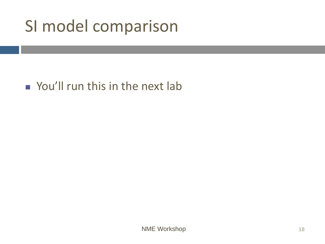### SI model comparison

### ■ You'll run this in the next lab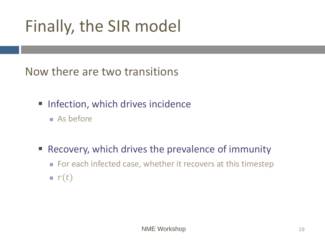### Finally, the SIR model

Now there are two transitions

- **· Infection, which drives incidence** 
	- As before
- Recovery, which drives the prevalence of immunity
	- For each infected case, whether it recovers at this timestep  $\mathbf{r}(t)$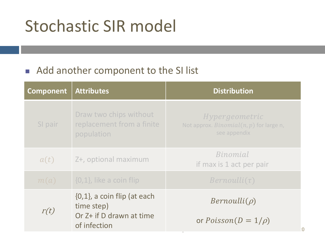### Stochastic SIR model

#### ■ Add another component to the SI list

| <b>Component</b> | <b>Attributes</b>                                                                          | <b>Distribution</b>                                                          |
|------------------|--------------------------------------------------------------------------------------------|------------------------------------------------------------------------------|
| SI pair          | Draw two chips without<br>replacement from a finite<br>population                          | Hypergeometric<br>Not approx. Binomial $(n, p)$ for large n,<br>see appendix |
| a(t)             | Z+, optional maximum                                                                       | Binomial<br>if max is 1 act per pair                                         |
| m(a)             | $\{0,1\}$ , like a coin flip                                                               | $Bernoulli(\tau)$                                                            |
| r(t)             | $\{0,1\}$ , a coin flip (at each<br>time step)<br>Or Z+ if D drawn at time<br>of infection | $Bernoulli(\rho)$<br>or $Poisson(D = 1/\rho)$                                |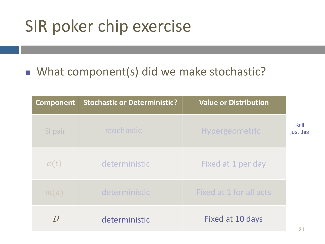### SIR poker chip exercise

#### ■ What component(s) did we make stochastic?

| <b>Component</b>          | <b>Stochastic or Deterministic?</b> | <b>Value or Distribution</b> |                           |
|---------------------------|-------------------------------------|------------------------------|---------------------------|
| SI pair                   | stochastic                          | <b>Hypergeometric</b>        | <b>Still</b><br>just this |
| a(t)                      | deterministic                       | Fixed at 1 per day           |                           |
| m(a)                      | deterministic                       | Fixed at 1 for all acts      |                           |
| $\boldsymbol{\mathsf{D}}$ | deterministic                       | Fixed at 10 days             |                           |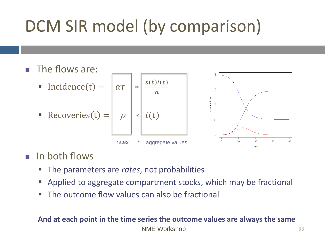# DCM SIR model (by comparison)

#### ■ The flows are:

■ Incidence(t) =  $|\alpha \tau|$  \*

$$
\text{Recoveries(t)} = \begin{vmatrix} \rho & \rho \end{vmatrix}
$$





#### In both flows

- The parameters are *rates*, not probabilities
- Applied to aggregate compartment stocks, which may be fractional
- The outcome flow values can also be fractional

#### **And at each point in the time series the outcome values are always the same**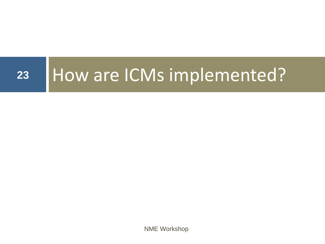# **<sup>23</sup>** How are ICMs implemented?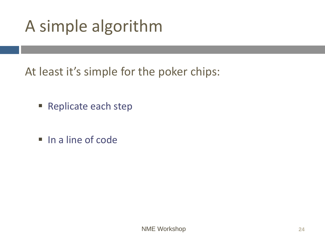### A simple algorithm

At least it's simple for the poker chips:

- Replicate each step
- In a line of code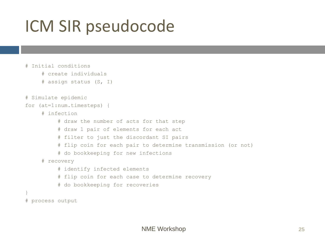### ICM SIR pseudocode

```
# Initial conditions
     # create individuals
     # assign status (S, I)
# Simulate epidemic
for (at=1:num.timesteps) {
     # infection
          # draw the number of acts for that step
          # draw 1 pair of elements for each act
          # filter to just the discordant SI pairs
          # flip coin for each pair to determine transmission (or not)
          # do bookkeeping for new infections
     # recovery
          # identify infected elements
          # flip coin for each case to determine recovery
          # do bookkeeping for recoveries
}
# process output
```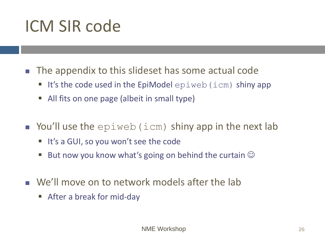### ICM SIR code

- The appendix to this slideset has some actual code
	- $\blacksquare$  It's the code used in the EpiModel  $epiweb$  (icm) shiny app
	- All fits on one page (albeit in small type)
- $\blacksquare$  You'll use the  $epiweb(icm)$  shiny app in the next lab
	- It's a GUI, so you won't see the code
	- But now you know what's going on behind the curtain  $\odot$
- We'll move on to network models after the lab
	- After a break for mid-day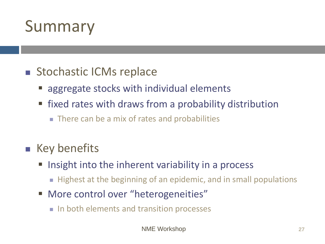### Summary

#### ■ Stochastic ICMs replace

- aggregate stocks with individual elements
- fixed rates with draws from a probability distribution
	- There can be a mix of rates and probabilities

### ■ Key benefits

- Insight into the inherent variability in a process
	- Highest at the beginning of an epidemic, and in small populations
- More control over "heterogeneities"
	- In both elements and transition processes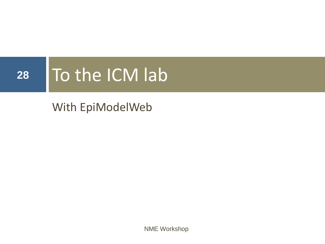# 28 To the ICM lab

### With EpiModelWeb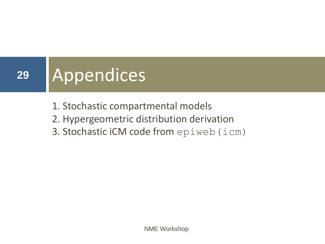# **<sup>29</sup>** Appendices

- 1. Stochastic compartmental models
- 2. Hypergeometric distribution derivation
- 3. Stochastic iCM code from epiweb(icm)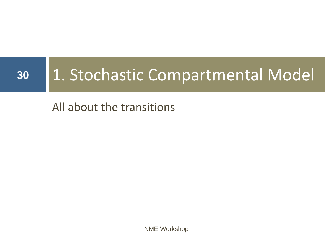# **<sup>30</sup>** 1. Stochastic Compartmental Model

### All about the transitions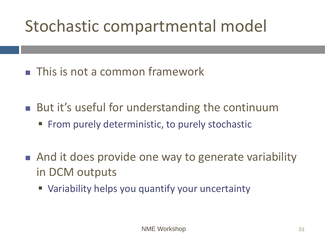- This is not a common framework
- But it's useful for understanding the continuum **From purely deterministic, to purely stochastic**
- And it does provide one way to generate variability in DCM outputs
	- **E** Variability helps you quantify your uncertainty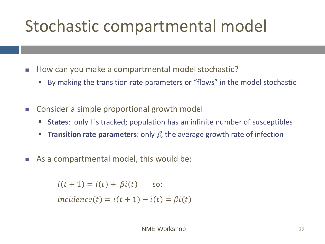- How can you make a compartmental model stochastic?
	- By making the transition rate parameters or "flows" in the model stochastic
- Consider a simple proportional growth model
	- **EXTER:** only I is tracked; population has an infinite number of susceptibles
	- **Transition rate parameters**: only  $\beta$ , the average growth rate of infection
- As a compartmental model, this would be:

 $i(t + 1) = i(t) + \beta i(t)$  so:  $incidence(t) = i(t + 1) - i(t) = Bi(t)$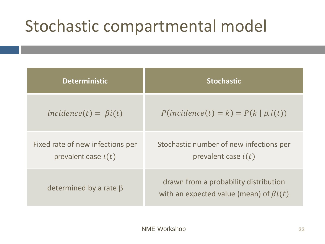| <b>Deterministic</b>                                      | <b>Stochastic</b>                                                                      |
|-----------------------------------------------------------|----------------------------------------------------------------------------------------|
| $incidence(t) = \beta i(t)$                               | $P(incidence(t) = k) = P(k   \beta, i(t))$                                             |
| Fixed rate of new infections per<br>prevalent case $i(t)$ | Stochastic number of new infections per<br>prevalent case $i(t)$                       |
| determined by a rate $\beta$                              | drawn from a probability distribution<br>with an expected value (mean) of $\beta i(t)$ |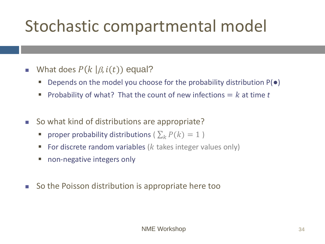- $\blacksquare$  What does  $P(k|\beta, i(t))$  equal?
	- Depends on the model you choose for the probability distribution  $P(\bullet)$
	- Probability of what? That the count of new infections  $= k$  at time t
- So what kind of distributions are appropriate?
	- **•** proper probability distributions ( $\sum_k P(k) = 1$ )
	- For discrete random variables ( $k$  takes integer values only)
	- non-negative integers only
- So the Poisson distribution is appropriate here too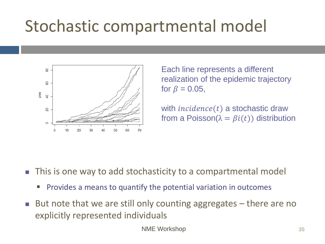

Each line represents a different realization of the epidemic trajectory for  $\beta = 0.05$ ,

with  $incidence(t)$  a stochastic draw from a Poisson( $\lambda = \beta i(t)$ ) distribution

- This is one way to add stochasticity to a compartmental model
	- **•** Provides a means to quantify the potential variation in outcomes
- But note that we are still only counting aggregates there are no explicitly represented individuals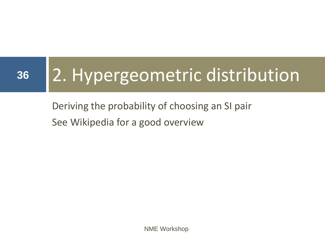# **<sup>36</sup>** 2. Hypergeometric distribution

Deriving the probability of choosing an SI pair See Wikipedia for a good overview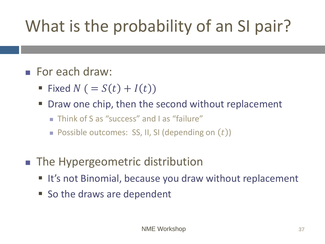# What is the probability of an SI pair?

#### ■ For each draw:

- Fixed  $N$  ( =  $S(t)$  +  $I(t)$ )
- Draw one chip, then the second without replacement
	- Think of S as "success" and Las "failure"
	- $\blacksquare$  Possible outcomes: SS, II, SI (depending on  $(t)$ )
- The Hypergeometric distribution
	- It's not Binomial, because you draw without replacement
	- So the draws are dependent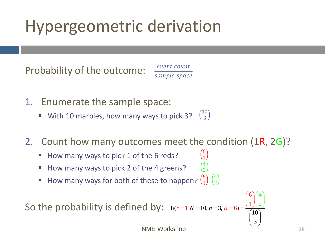### Hypergeometric derivation

Probability of the outcome:

event count sample space

- 1. Enumerate the sample space:
	- With 10 marbles, how many ways to pick 3? 10 3

#### 2. Count how many outcomes meet the condition (1R, 2G)?

- How many ways to pick 1 of the 6 reds?
- How many ways to pick 2 of the 4 greens?
- **E** How many ways for both of these to happen?  $\binom{6}{1}$ 1 4 2

So the probability is defined by:  $h(r=1; N=10, n=3, R=6) = \frac{(1/(2)}{(10)}$  $h(r=1; N=10, n=3, R=6) = \frac{(1)}{(10)}$ 2  $r = 1; N = 10, n = 3, R = 6$   $\equiv \frac{\binom{6}{1}\binom{4}{2}}{\binom{6}{2}}$  $= 3, K = 0$ )  $= \frac{10}{\begin{pmatrix} 10 \\ 3 \end{pmatrix}}$ 

6  $(4)$ 

 $\binom{4}{ }$ 

 $4 \mid$ 

3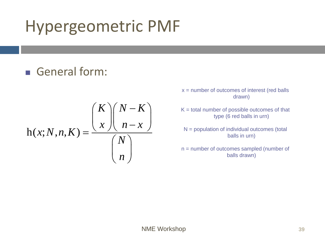### Hypergeometric PMF

#### ■ General form:

$$
h(x; N, n, K) = \frac{\binom{K}{x} \binom{N-K}{n-x}}{\binom{N}{n}}
$$

 $x =$  number of outcomes of interest (red balls drawn)

- $K =$  total number of possible outcomes of that type (6 red balls in urn)
- N = population of individual outcomes (total balls in urn)
- n = number of outcomes sampled (number of balls drawn)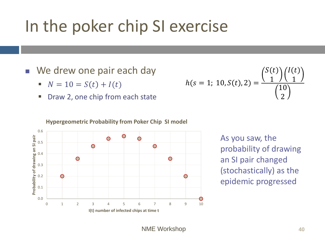### In the poker chip SI exercise

- We drew one pair each day
	- $N = 10 = S(t) + I(t)$
	- Draw 2, one chip from each state

$$
h(s = 1; 10, S(t), 2) = \frac{\binom{S(t)}{1} \binom{I(t)}{1}}{\binom{10}{2}}
$$





As you saw, the probability of drawing an SI pair changed (stochastically) as the epidemic progressed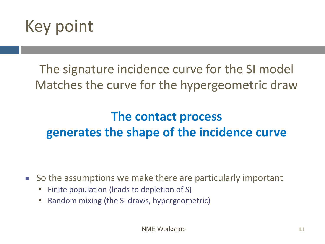

The signature incidence curve for the SI model Matches the curve for the hypergeometric draw

### **The contact process generates the shape of the incidence curve**

■ So the assumptions we make there are particularly important

- Finite population (leads to depletion of S)
- Random mixing (the SI draws, hypergeometric)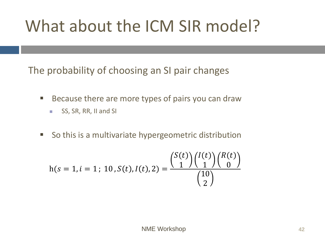### What about the ICM SIR model?

The probability of choosing an SI pair changes

- Because there are more types of pairs you can draw
	- SS, SR, RR, II and SI
- So this is a multivariate hypergeometric distribution

$$
h(s = 1, i = 1; 10, S(t), I(t), 2) = \frac{\binom{S(t)}{1} \binom{I(t)}{1} \binom{R(t)}{0}}{\binom{10}{2}}
$$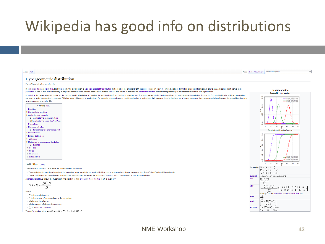### Wikipedia has good info on distributions

| Hypergeometric distribution<br>From Wikipedia, the free encyclopedia<br>In probability theory and statistics, the hypergeometric distribution is a discrete probability distribution that describes the probability of k successes (random draws for which the object drawn has a specified feature) i<br>population of size N that contains exactly K objects with that feature, wherein each draw is either a success or a failure. In contrast, the binomial distribution describes the probability of k successes in n draws with re<br>In statistics, the hypergeometric test uses the hypergeometric distribution to calculate the statistical significance of having drawn a specific k successes (out of n total draws) from the aforementioned population. The te |                                                                            |                                                                                                                                                                    |
|----------------------------------------------------------------------------------------------------------------------------------------------------------------------------------------------------------------------------------------------------------------------------------------------------------------------------------------------------------------------------------------------------------------------------------------------------------------------------------------------------------------------------------------------------------------------------------------------------------------------------------------------------------------------------------------------------------------------------------------------------------------------------|----------------------------------------------------------------------------|--------------------------------------------------------------------------------------------------------------------------------------------------------------------|
|                                                                                                                                                                                                                                                                                                                                                                                                                                                                                                                                                                                                                                                                                                                                                                            |                                                                            |                                                                                                                                                                    |
|                                                                                                                                                                                                                                                                                                                                                                                                                                                                                                                                                                                                                                                                                                                                                                            |                                                                            |                                                                                                                                                                    |
|                                                                                                                                                                                                                                                                                                                                                                                                                                                                                                                                                                                                                                                                                                                                                                            |                                                                            | Hypergeometric<br>Probability mass function                                                                                                                        |
| are over- or under-represented in a sample. This test has a wide range of applications. For example, a marketing group could use the test to understand their customer base by testing a set of known customers for over-repre<br>(e.g., women, people under 30).                                                                                                                                                                                                                                                                                                                                                                                                                                                                                                          | $\overline{5}$<br>$\circ$                                                  | $-$ N=500, K=50, n=100<br>N=500, K=60, n=200<br>N=500, K=70, n=300                                                                                                 |
| Contents [hide]<br>1 Definition<br>2 Combinatorial identities<br>3 Application and example<br>3.1 Application to auditing elections<br>3.2 Application to Texas Hold'em Poker<br>4 Symmetries<br>5 Hypergeometric test                                                                                                                                                                                                                                                                                                                                                                                                                                                                                                                                                     | $\overline{a}$<br>$\ddot{\circ}$<br>16<br>ö<br>8<br>$\mathbf{r}$           | 20<br>10<br>30<br>40<br>50<br>60<br>0                                                                                                                              |
| 5.1 Relationship to Fisher's exact test<br>6 Order of draws                                                                                                                                                                                                                                                                                                                                                                                                                                                                                                                                                                                                                                                                                                                |                                                                            | Cumulative distribution function                                                                                                                                   |
| 7 Related distributions<br>8 Tail bounds<br>9 Multivariate hypergeometric distribution<br>9.1 Example<br>10 See also<br>11 Notes<br>12 References<br>13 External links<br>Definition [edit]                                                                                                                                                                                                                                                                                                                                                                                                                                                                                                                                                                                | $\circ$<br>$^{8}$<br>$\frac{6}{2}$<br>ë.<br>o<br>$\overline{0}$<br>$\circ$ | N=500, K=50, n=100<br>N=500, K=60, n=200<br>N=500, K=70, n=300<br>10<br>20<br>40<br>50<br>30<br>60<br>0                                                            |
| The following conditions characterize the hypergeometric distribution:                                                                                                                                                                                                                                                                                                                                                                                                                                                                                                                                                                                                                                                                                                     | Parameters $N \in \{0, 1, 2, \ldots\}$                                     |                                                                                                                                                                    |
| . The result of each draw (the elements of the population being sampled) can be classified into one of two mutually exclusive categories (e.g. Pass/Fail or Employed/Unemployed).<br>. The probability of a success changes on each draw, as each draw decreases the population (sampling without replacement from a finite population).                                                                                                                                                                                                                                                                                                                                                                                                                                   |                                                                            | $K \in \{0, 1, 2, , N\}$<br>$n \in \{0, 1, 2, \ldots, N\}$<br><b>Support</b> $k \in \{ \max(0, n + K - N), , \min(n, K) \}$                                        |
| A random variable X follows the hypergeometric distribution if its probability mass function (pmf) is given by <sup>[1]</sup>                                                                                                                                                                                                                                                                                                                                                                                                                                                                                                                                                                                                                                              | $\binom{K}{k}\binom{N-K}{n-k}$<br>pmf                                      |                                                                                                                                                                    |
| $P(X = k) = \frac{\binom{K}{k}\binom{N-K}{n-k}}{\binom{N}{n}}$<br>where                                                                                                                                                                                                                                                                                                                                                                                                                                                                                                                                                                                                                                                                                                    | CDF                                                                        | $\binom{N}{n}$<br>$\binom{n}{k+1}\binom{N-n}{K-k-1}$<br>$\frac{1}{2} \, {}_3F_2 \left[ \begin{array}{c} 1, k+1-K, k+1-n \\ k+2, N+k+2-K-n \end{array} ; 1 \right]$ |
| $\bullet$ N is the population size.                                                                                                                                                                                                                                                                                                                                                                                                                                                                                                                                                                                                                                                                                                                                        |                                                                            | where $_p F_q$ is the generalized hypergeometric function                                                                                                          |
| $\bullet$ K is the number of success states in the population.                                                                                                                                                                                                                                                                                                                                                                                                                                                                                                                                                                                                                                                                                                             | K<br>Mean<br>$\sqrt[n]{N}$                                                 |                                                                                                                                                                    |
| $\bullet$ <i>n</i> is the number of draws.                                                                                                                                                                                                                                                                                                                                                                                                                                                                                                                                                                                                                                                                                                                                 | Mode                                                                       | $(n+1)(K+1)$                                                                                                                                                       |
| $\bullet$ k is the number of observed successes.                                                                                                                                                                                                                                                                                                                                                                                                                                                                                                                                                                                                                                                                                                                           |                                                                            | $N+2$                                                                                                                                                              |
| $\bullet$ $\binom{a}{b}$ is a binomial coefficient.                                                                                                                                                                                                                                                                                                                                                                                                                                                                                                                                                                                                                                                                                                                        | <b>Variance</b>                                                            | $K(N-K)N-n$<br>$\sqrt[n]{\frac{N}{N}}$ $\frac{N-1}{N-1}$                                                                                                           |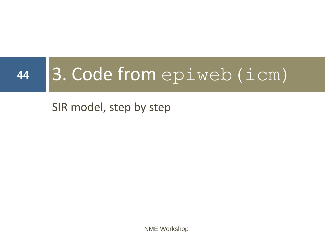# 44 3. Code from epiweb (icm)

### SIR model, step by step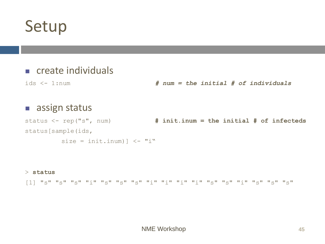### Setup

#### ■ create individuals

ids <- 1:num *# num = the initial # of individuals*

#### ■ assign status

status <- rep("s", num) **# init.inum = the initial # of infecteds** status[sample(ids,

size = init.inum)  $\langle -$  "i"

#### > **status**

[1] "s" "s" "s" "i" "s" "s" "s" "i" "i" "i" "i" "s" "s" "i" "s" "s" "s"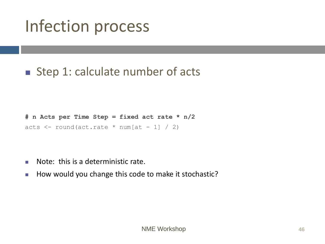### ■ Step 1: calculate number of acts

```
# n Acts per Time Step = fixed act rate * n/2
acts \le round(act.rate \neq num[at - 1] / 2)
```
- $\blacksquare$  Note: this is a deterministic rate.
- How would you change this code to make it stochastic?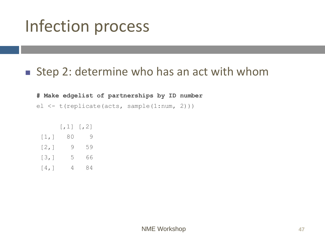#### ■ Step 2: determine who has an act with whom

**# Make edgelist of partnerships by ID number**

el <- t(replicate(acts, sample(1:num, 2)))

|      | $[$ , 1] | $\lbrack$ , 2] |
|------|----------|----------------|
| [1,] | 80       | 9              |
| [2,] | 9        | 59             |
| [3,] | 5        | 66             |
| [4,] | 4        | 84             |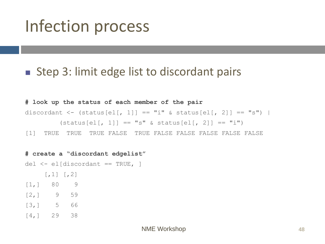#### ■ Step 3: limit edge list to discordant pairs

**# look up the status of each member of the pair** discordant <- (status[el[, 1]] == "i" & status[el[, 2]] == "s") |  $(status[el[, 1]] == "s" & status[el[, 2]] == "i"$ [1] TRUE TRUE TRUE FALSE TRUE FALSE FALSE FALSE FALSE FALSE

**# create a "discordant edgelist"** del <- el[discordant == TRUE, ]  $[1, 1]$   $[2]$ [1,] 80 9 [2,] 9 59 [3,] 5 66 [4,] 29 38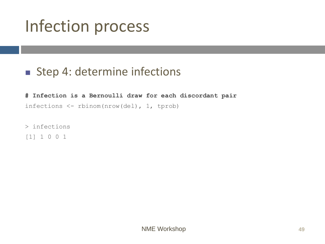#### ■ Step 4: determine infections

**# Infection is a Bernoulli draw for each discordant pair** infections <- rbinom(nrow(del), 1, tprob)

> infections [1] 1 0 0 1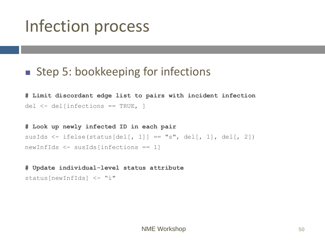#### ■ Step 5: bookkeeping for infections

**# Limit discordant edge list to pairs with incident infection** del <- del[infections == TRUE, ]

**# Look up newly infected ID in each pair** susIds  $\le$  ifelse(status[del[, 1]] == "s", del[, 1], del[, 2]) newInfIds <- susIds[infections == 1]

#### **# Update individual-level status attribute**

```
status[newInfIds] <- "i"
```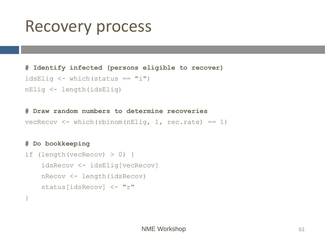### Recovery process

#### **# Identify infected (persons eligible to recover)**

```
idsElig \langle - \text{ which}(\text{status} == "i") \rangle
```

```
nElig <- length(idsElig)
```
**# Draw random numbers to determine recoveries**

vecRecov  $\leq$  which(rbinom(nElig, 1, rec.rate) == 1)

#### **# Do bookkeeping**

```
if (length(vecRecov) > 0) {
    idsRecov <- idsElig[vecRecov]
    nRecov <- length(idsRecov)
    status[idsRecov] <- "r"
}
```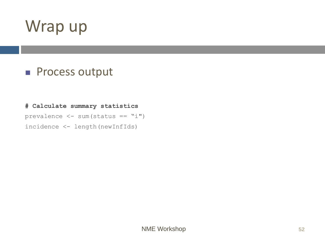### Wrap up

#### ■ Process output

#### **# Calculate summary statistics**

prevalence  $\langle - \text{ sum}(\text{status == "i")}\rangle$ incidence <- length(newInfIds)